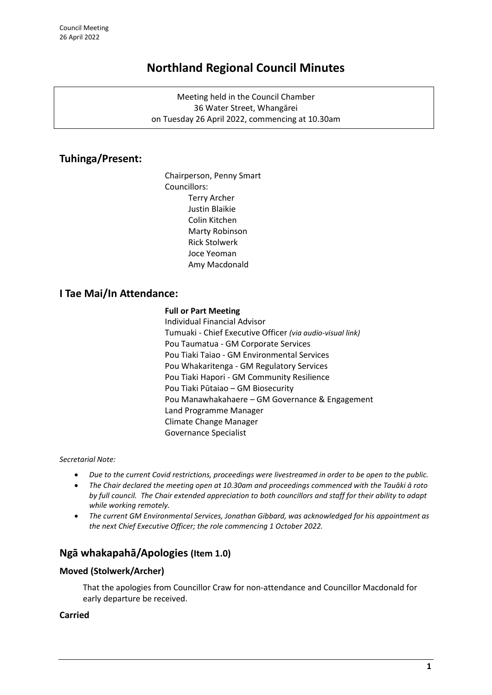# **Northland Regional Council Minutes**

Meeting held in the Council Chamber 36 Water Street, Whangārei on Tuesday 26 April 2022, commencing at 10.30am

# **Tuhinga/Present:**

Chairperson, Penny Smart Councillors: Terry Archer Justin Blaikie Colin Kitchen Marty Robinson Rick Stolwerk Joce Yeoman Amy Macdonald

# **I Tae Mai/In Attendance:**

#### **Full or Part Meeting**

Individual Financial Advisor Tumuaki - Chief Executive Officer *(via audio-visual link)* Pou Taumatua - GM Corporate Services Pou Tiaki Taiao - GM Environmental Services Pou Whakaritenga - GM Regulatory Services Pou Tiaki Hapori - GM Community Resilience Pou Tiaki Pūtaiao – GM Biosecurity Pou Manawhakahaere – GM Governance & Engagement Land Programme Manager Climate Change Manager Governance Specialist

#### *Secretarial Note:*

- *Due to the current Covid restrictions, proceedings were livestreamed in order to be open to the public.*
- *The Chair declared the meeting open at 10.30am and proceedings commenced with the Tauāki ā roto by full council. The Chair extended appreciation to both councillors and staff for their ability to adapt while working remotely.*
- *The current GM Environmental Services, Jonathan Gibbard, was acknowledged for his appointment as the next Chief Executive Officer; the role commencing 1 October 2022.*

# **Ngā whakapahā/Apologies (Item 1.0)**

### **Moved (Stolwerk/Archer)**

That the apologies from Councillor Craw for non-attendance and Councillor Macdonald for early departure be received.

### **Carried**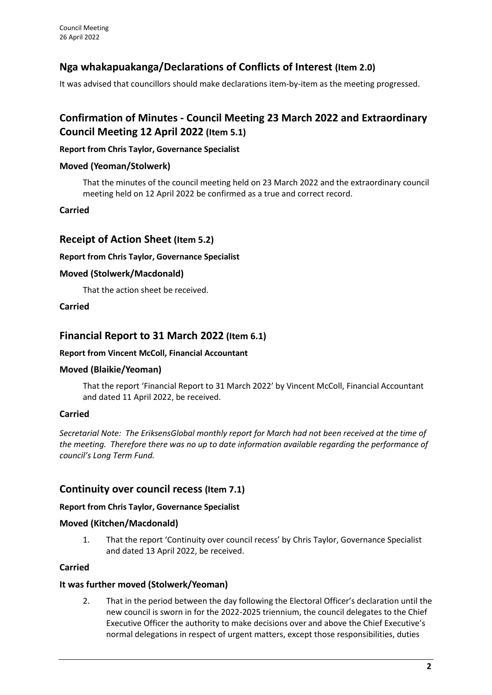# **Nga whakapuakanga/Declarations of Conflicts of Interest (Item 2.0)**

It was advised that councillors should make declarations item-by-item as the meeting progressed.

# **Confirmation of Minutes - Council Meeting 23 March 2022 and Extraordinary Council Meeting 12 April 2022 (Item 5.1)**

## **Report from Chris Taylor, Governance Specialist**

## **Moved (Yeoman/Stolwerk)**

That the minutes of the council meeting held on 23 March 2022 and the extraordinary council meeting held on 12 April 2022 be confirmed as a true and correct record.

## **Carried**

## **Receipt of Action Sheet (Item 5.2)**

### **Report from Chris Taylor, Governance Specialist**

## **Moved (Stolwerk/Macdonald)**

That the action sheet be received.

### **Carried**

# **Financial Report to 31 March 2022 (Item 6.1)**

### **Report from Vincent McColl, Financial Accountant**

### **Moved (Blaikie/Yeoman)**

That the report 'Financial Report to 31 March 2022' by Vincent McColl, Financial Accountant and dated 11 April 2022, be received.

### **Carried**

*Secretarial Note: The EriksensGlobal monthly report for March had not been received at the time of the meeting. Therefore there was no up to date information available regarding the performance of council's Long Term Fund.*

## **Continuity over council recess (Item 7.1)**

### **Report from Chris Taylor, Governance Specialist**

### **Moved (Kitchen/Macdonald)**

1. That the report 'Continuity over council recess' by Chris Taylor, Governance Specialist and dated 13 April 2022, be received.

### **Carried**

### **It was further moved (Stolwerk/Yeoman)**

2. That in the period between the day following the Electoral Officer's declaration until the new council is sworn in for the 2022-2025 triennium, the council delegates to the Chief Executive Officer the authority to make decisions over and above the Chief Executive's normal delegations in respect of urgent matters, except those responsibilities, duties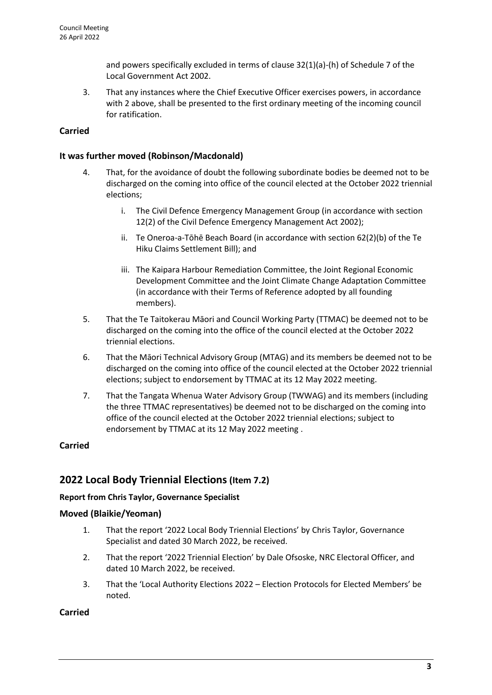and powers specifically excluded in terms of clause 32(1)(a)-(h) of Schedule 7 of the Local Government Act 2002.

3. That any instances where the Chief Executive Officer exercises powers, in accordance with 2 above, shall be presented to the first ordinary meeting of the incoming council for ratification.

## **Carried**

### **It was further moved (Robinson/Macdonald)**

- 4. That, for the avoidance of doubt the following subordinate bodies be deemed not to be discharged on the coming into office of the council elected at the October 2022 triennial elections;
	- i. The Civil Defence Emergency Management Group (in accordance with section 12(2) of the Civil Defence Emergency Management Act 2002);
	- ii. Te Oneroa-a-Tōhē Beach Board (in accordance with section 62(2)(b) of the Te Hiku Claims Settlement Bill); and
	- iii. The Kaipara Harbour Remediation Committee, the Joint Regional Economic Development Committee and the Joint Climate Change Adaptation Committee (in accordance with their Terms of Reference adopted by all founding members).
- 5. That the Te Taitokerau Māori and Council Working Party (TTMAC) be deemed not to be discharged on the coming into the office of the council elected at the October 2022 triennial elections.
- 6. That the Māori Technical Advisory Group (MTAG) and its members be deemed not to be discharged on the coming into office of the council elected at the October 2022 triennial elections; subject to endorsement by TTMAC at its 12 May 2022 meeting.
- 7. That the Tangata Whenua Water Advisory Group (TWWAG) and its members (including the three TTMAC representatives) be deemed not to be discharged on the coming into office of the council elected at the October 2022 triennial elections; subject to endorsement by TTMAC at its 12 May 2022 meeting .

### **Carried**

# **2022 Local Body Triennial Elections(Item 7.2)**

### **Report from Chris Taylor, Governance Specialist**

### **Moved (Blaikie/Yeoman)**

- 1. That the report '2022 Local Body Triennial Elections' by Chris Taylor, Governance Specialist and dated 30 March 2022, be received.
- 2. That the report '2022 Triennial Election' by Dale Ofsoske, NRC Electoral Officer, and dated 10 March 2022, be received.
- 3. That the 'Local Authority Elections 2022 Election Protocols for Elected Members' be noted.

### **Carried**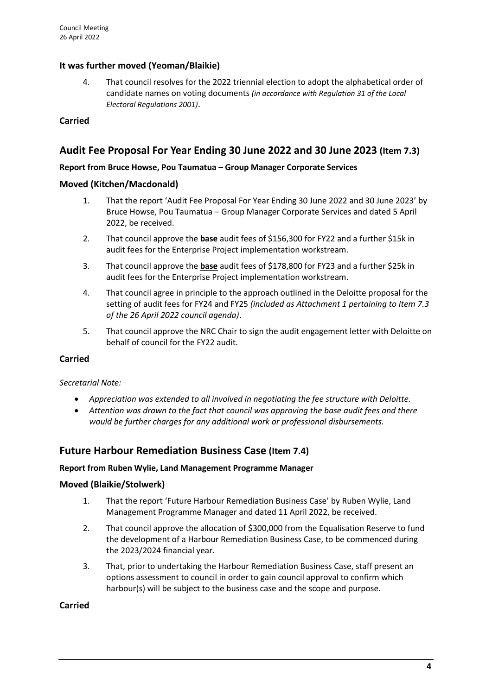## **It was further moved (Yeoman/Blaikie)**

4. That council resolves for the 2022 triennial election to adopt the alphabetical order of candidate names on voting documents *(in accordance with Regulation 31 of the Local Electoral Regulations 2001)*.

**Carried**

## **Audit Fee Proposal For Year Ending 30 June 2022 and 30 June 2023 (Item 7.3)**

#### **Report from Bruce Howse, Pou Taumatua – Group Manager Corporate Services**

#### **Moved (Kitchen/Macdonald)**

- 1. That the report 'Audit Fee Proposal For Year Ending 30 June 2022 and 30 June 2023' by Bruce Howse, Pou Taumatua – Group Manager Corporate Services and dated 5 April 2022, be received.
- 2. That council approve the **base** audit fees of \$156,300 for FY22 and a further \$15k in audit fees for the Enterprise Project implementation workstream.
- 3. That council approve the **base** audit fees of \$178,800 for FY23 and a further \$25k in audit fees for the Enterprise Project implementation workstream.
- 4. That council agree in principle to the approach outlined in the Deloitte proposal for the setting of audit fees for FY24 and FY25 *(included as Attachment 1 pertaining to Item 7.3 of the 26 April 2022 council agenda)*.
- 5. That council approve the NRC Chair to sign the audit engagement letter with Deloitte on behalf of council for the FY22 audit.

### **Carried**

*Secretarial Note:* 

- *Appreciation was extended to all involved in negotiating the fee structure with Deloitte.*
- *Attention was drawn to the fact that council was approving the base audit fees and there would be further charges for any additional work or professional disbursements.*

## **Future Harbour Remediation Business Case (Item 7.4)**

#### **Report from Ruben Wylie, Land Management Programme Manager**

### **Moved (Blaikie/Stolwerk)**

- 1. That the report 'Future Harbour Remediation Business Case' by Ruben Wylie, Land Management Programme Manager and dated 11 April 2022, be received.
- 2. That council approve the allocation of \$300,000 from the Equalisation Reserve to fund the development of a Harbour Remediation Business Case, to be commenced during the 2023/2024 financial year.
- 3. That, prior to undertaking the Harbour Remediation Business Case, staff present an options assessment to council in order to gain council approval to confirm which harbour(s) will be subject to the business case and the scope and purpose.

#### **Carried**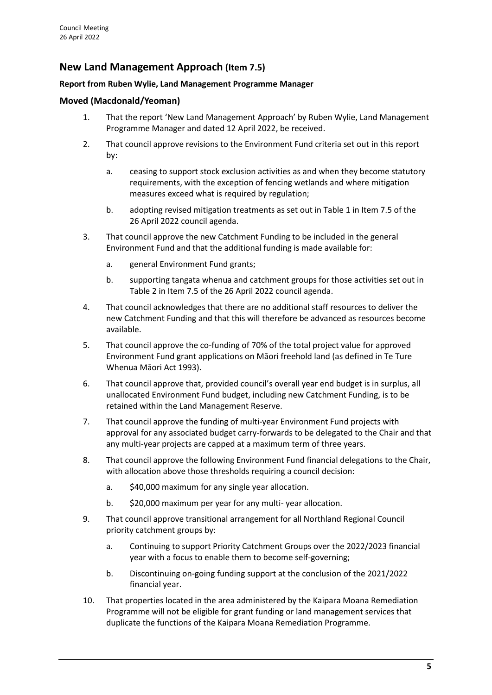# **New Land Management Approach (Item 7.5)**

## **Report from Ruben Wylie, Land Management Programme Manager**

## **Moved (Macdonald/Yeoman)**

- 1. That the report 'New Land Management Approach' by Ruben Wylie, Land Management Programme Manager and dated 12 April 2022, be received.
- 2. That council approve revisions to the Environment Fund criteria set out in this report by:
	- a. ceasing to support stock exclusion activities as and when they become statutory requirements, with the exception of fencing wetlands and where mitigation measures exceed what is required by regulation;
	- b. adopting revised mitigation treatments as set out in Table 1 in Item 7.5 of the 26 April 2022 council agenda.
- 3. That council approve the new Catchment Funding to be included in the general Environment Fund and that the additional funding is made available for:
	- a. general Environment Fund grants;
	- b. supporting tangata whenua and catchment groups for those activities set out in Table 2 in Item 7.5 of the 26 April 2022 council agenda.
- 4. That council acknowledges that there are no additional staff resources to deliver the new Catchment Funding and that this will therefore be advanced as resources become available.
- 5. That council approve the co-funding of 70% of the total project value for approved Environment Fund grant applications on Māori freehold land (as defined in Te Ture Whenua Māori Act 1993).
- 6. That council approve that, provided council's overall year end budget is in surplus, all unallocated Environment Fund budget, including new Catchment Funding, is to be retained within the Land Management Reserve.
- 7. That council approve the funding of multi-year Environment Fund projects with approval for any associated budget carry-forwards to be delegated to the Chair and that any multi-year projects are capped at a maximum term of three years.
- 8. That council approve the following Environment Fund financial delegations to the Chair, with allocation above those thresholds requiring a council decision:
	- a. \$40,000 maximum for any single year allocation.
	- b. \$20,000 maximum per year for any multi- year allocation.
- 9. That council approve transitional arrangement for all Northland Regional Council priority catchment groups by:
	- a. Continuing to support Priority Catchment Groups over the 2022/2023 financial year with a focus to enable them to become self-governing;
	- b. Discontinuing on-going funding support at the conclusion of the 2021/2022 financial year.
- 10. That properties located in the area administered by the Kaipara Moana Remediation Programme will not be eligible for grant funding or land management services that duplicate the functions of the Kaipara Moana Remediation Programme.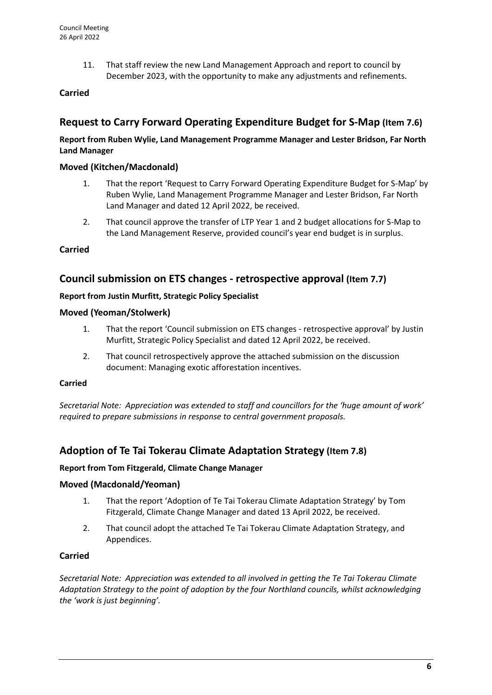11. That staff review the new Land Management Approach and report to council by December 2023, with the opportunity to make any adjustments and refinements.

## **Carried**

# **Request to Carry Forward Operating Expenditure Budget for S-Map (Item 7.6)**

### **Report from Ruben Wylie, Land Management Programme Manager and Lester Bridson, Far North Land Manager**

### **Moved (Kitchen/Macdonald)**

- 1. That the report 'Request to Carry Forward Operating Expenditure Budget for S-Map' by Ruben Wylie, Land Management Programme Manager and Lester Bridson, Far North Land Manager and dated 12 April 2022, be received.
- 2. That council approve the transfer of LTP Year 1 and 2 budget allocations for S-Map to the Land Management Reserve, provided council's year end budget is in surplus.

#### **Carried**

## **Council submission on ETS changes - retrospective approval (Item 7.7)**

#### **Report from Justin Murfitt, Strategic Policy Specialist**

#### **Moved (Yeoman/Stolwerk)**

- 1. That the report 'Council submission on ETS changes retrospective approval' by Justin Murfitt, Strategic Policy Specialist and dated 12 April 2022, be received.
- 2. That council retrospectively approve the attached submission on the discussion document: Managing exotic afforestation incentives.

#### **Carried**

*Secretarial Note: Appreciation was extended to staff and councillors for the 'huge amount of work' required to prepare submissions in response to central government proposals.*

## **Adoption of Te Tai Tokerau Climate Adaptation Strategy (Item 7.8)**

#### **Report from Tom Fitzgerald, Climate Change Manager**

### **Moved (Macdonald/Yeoman)**

- 1. That the report 'Adoption of Te Tai Tokerau Climate Adaptation Strategy' by Tom Fitzgerald, Climate Change Manager and dated 13 April 2022, be received.
- 2. That council adopt the attached Te Tai Tokerau Climate Adaptation Strategy, and Appendices.

#### **Carried**

*Secretarial Note: Appreciation was extended to all involved in getting the Te Tai Tokerau Climate Adaptation Strategy to the point of adoption by the four Northland councils, whilst acknowledging the 'work is just beginning'.*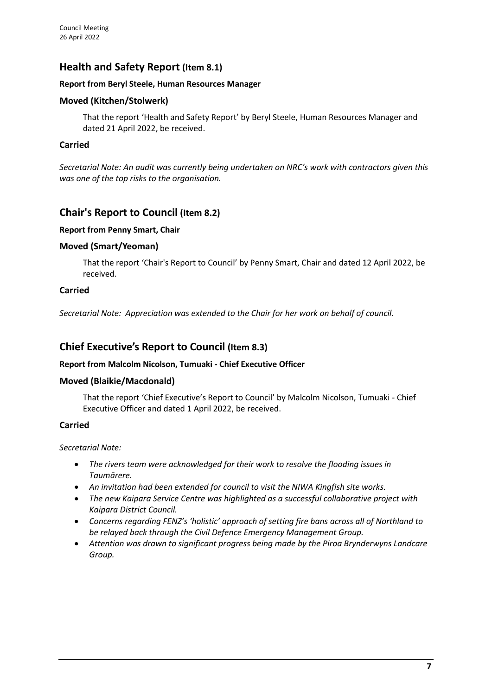# **Health and Safety Report (Item 8.1)**

#### **Report from Beryl Steele, Human Resources Manager**

### **Moved (Kitchen/Stolwerk)**

That the report 'Health and Safety Report' by Beryl Steele, Human Resources Manager and dated 21 April 2022, be received.

#### **Carried**

*Secretarial Note: An audit was currently being undertaken on NRC's work with contractors given this was one of the top risks to the organisation.*

## **Chair's Report to Council (Item 8.2)**

#### **Report from Penny Smart, Chair**

### **Moved (Smart/Yeoman)**

That the report 'Chair's Report to Council' by Penny Smart, Chair and dated 12 April 2022, be received.

#### **Carried**

*Secretarial Note: Appreciation was extended to the Chair for her work on behalf of council.*

# **Chief Executive's Report to Council (Item 8.3)**

#### **Report from Malcolm Nicolson, Tumuaki - Chief Executive Officer**

### **Moved (Blaikie/Macdonald)**

That the report 'Chief Executive's Report to Council' by Malcolm Nicolson, Tumuaki - Chief Executive Officer and dated 1 April 2022, be received.

### **Carried**

#### *Secretarial Note:*

- *The rivers team were acknowledged for their work to resolve the flooding issues in Taumārere.*
- *An invitation had been extended for council to visit the NIWA Kingfish site works.*
- *The new Kaipara Service Centre was highlighted as a successful collaborative project with Kaipara District Council.*
- *Concerns regarding FENZ's 'holistic' approach of setting fire bans across all of Northland to be relayed back through the Civil Defence Emergency Management Group.*
- *Attention was drawn to significant progress being made by the Piroa Brynderwyns Landcare Group.*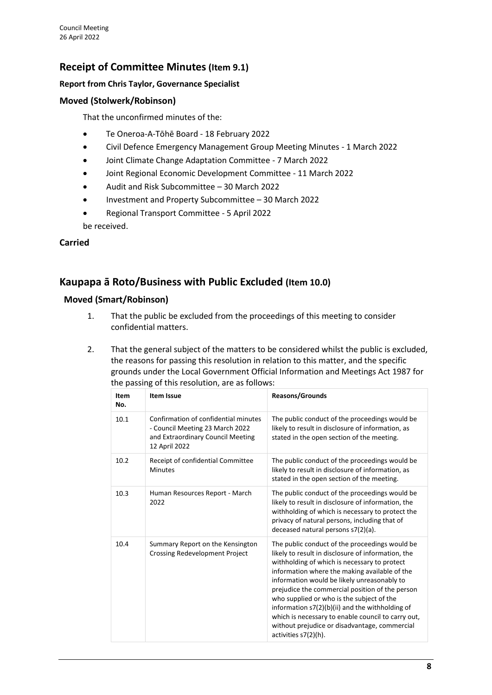# **Receipt of Committee Minutes (Item 9.1)**

## **Report from Chris Taylor, Governance Specialist**

## **Moved (Stolwerk/Robinson)**

That the unconfirmed minutes of the:

- Te Oneroa-A-Tōhē Board 18 February 2022
- Civil Defence Emergency Management Group Meeting Minutes 1 March 2022
- Joint Climate Change Adaptation Committee 7 March 2022
- Joint Regional Economic Development Committee 11 March 2022
- Audit and Risk Subcommittee 30 March 2022
- Investment and Property Subcommittee 30 March 2022
- Regional Transport Committee 5 April 2022 be received.

### **Carried**

# **Kaupapa ā Roto/Business with Public Excluded (Item 10.0)**

### **Moved (Smart/Robinson)**

- 1. That the public be excluded from the proceedings of this meeting to consider confidential matters.
- 2. That the general subject of the matters to be considered whilst the public is excluded, the reasons for passing this resolution in relation to this matter, and the specific grounds under the Local Government Official Information and Meetings Act 1987 for the passing of this resolution, are as follows:

| Item<br>No. | <b>Item Issue</b>                                                                                                             | <b>Reasons/Grounds</b>                                                                                                                                                                                                                                                                                                                                                                                                                                                                                                                   |
|-------------|-------------------------------------------------------------------------------------------------------------------------------|------------------------------------------------------------------------------------------------------------------------------------------------------------------------------------------------------------------------------------------------------------------------------------------------------------------------------------------------------------------------------------------------------------------------------------------------------------------------------------------------------------------------------------------|
| 10.1        | Confirmation of confidential minutes<br>- Council Meeting 23 March 2022<br>and Extraordinary Council Meeting<br>12 April 2022 | The public conduct of the proceedings would be<br>likely to result in disclosure of information, as<br>stated in the open section of the meeting.                                                                                                                                                                                                                                                                                                                                                                                        |
| 10.2        | Receipt of confidential Committee<br><b>Minutes</b>                                                                           | The public conduct of the proceedings would be<br>likely to result in disclosure of information, as<br>stated in the open section of the meeting.                                                                                                                                                                                                                                                                                                                                                                                        |
| 10.3        | Human Resources Report - March<br>2022                                                                                        | The public conduct of the proceedings would be<br>likely to result in disclosure of information, the<br>withholding of which is necessary to protect the<br>privacy of natural persons, including that of<br>deceased natural persons s7(2)(a).                                                                                                                                                                                                                                                                                          |
| 10.4        | Summary Report on the Kensington<br>Crossing Redevelopment Project                                                            | The public conduct of the proceedings would be<br>likely to result in disclosure of information, the<br>withholding of which is necessary to protect<br>information where the making available of the<br>information would be likely unreasonably to<br>prejudice the commercial position of the person<br>who supplied or who is the subject of the<br>information $s7(2)(b)(ii)$ and the withholding of<br>which is necessary to enable council to carry out,<br>without prejudice or disadvantage, commercial<br>activities s7(2)(h). |